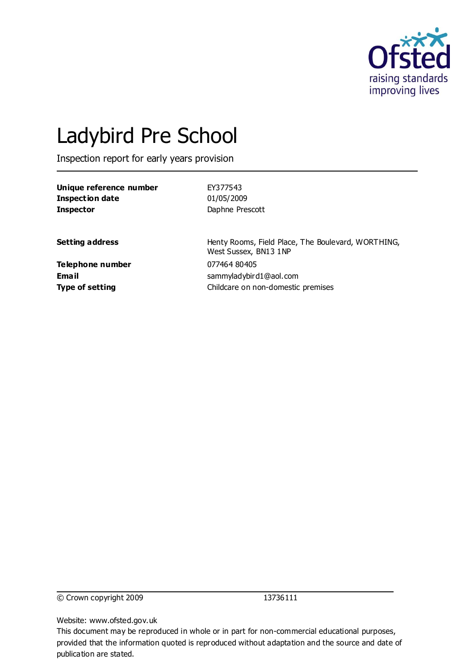

# Ladybird Pre School

Inspection report for early years provision

| Unique reference number | EY377543                                                                    |
|-------------------------|-----------------------------------------------------------------------------|
| Inspection date         | 01/05/2009                                                                  |
| <b>Inspector</b>        | Daphne Prescott                                                             |
| <b>Setting address</b>  | Henty Rooms, Field Place, The Boulevard, WORTHING,<br>West Sussex, BN13 1NP |
| Telephone number        | 077464 80405                                                                |
| Email                   | sammyladybird1@aol.com                                                      |
| <b>Type of setting</b>  | Childcare on non-domestic premises                                          |

© Crown copyright 2009 13736111

Website: www.ofsted.gov.uk

This document may be reproduced in whole or in part for non-commercial educational purposes, provided that the information quoted is reproduced without adaptation and the source and date of publication are stated.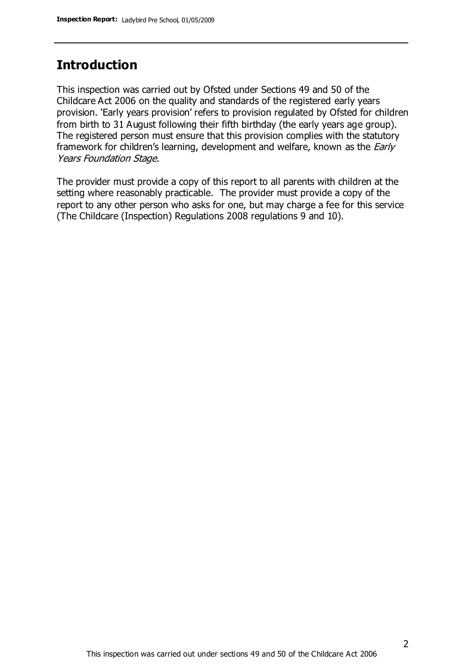## **Introduction**

This inspection was carried out by Ofsted under Sections 49 and 50 of the Childcare Act 2006 on the quality and standards of the registered early years provision. 'Early years provision' refers to provision regulated by Ofsted for children from birth to 31 August following their fifth birthday (the early years age group). The registered person must ensure that this provision complies with the statutory framework for children's learning, development and welfare, known as the *Early* Years Foundation Stage.

The provider must provide a copy of this report to all parents with children at the setting where reasonably practicable. The provider must provide a copy of the report to any other person who asks for one, but may charge a fee for this service (The Childcare (Inspection) Regulations 2008 regulations 9 and 10).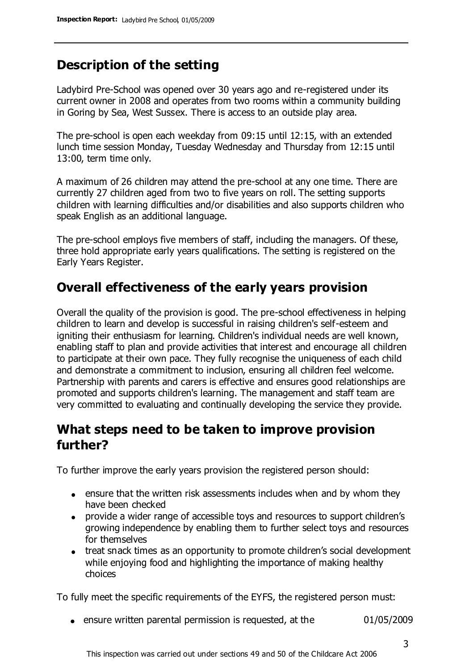## **Description of the setting**

Ladybird Pre-School was opened over 30 years ago and re-registered under its current owner in 2008 and operates from two rooms within a community building in Goring by Sea, West Sussex. There is access to an outside play area.

The pre-school is open each weekday from 09:15 until 12:15, with an extended lunch time session Monday, Tuesday Wednesday and Thursday from 12:15 until 13:00, term time only.

A maximum of 26 children may attend the pre-school at any one time. There are currently 27 children aged from two to five years on roll. The setting supports children with learning difficulties and/or disabilities and also supports children who speak English as an additional language.

The pre-school employs five members of staff, including the managers. Of these, three hold appropriate early years qualifications. The setting is registered on the Early Years Register.

## **Overall effectiveness of the early years provision**

Overall the quality of the provision is good. The pre-school effectiveness in helping children to learn and develop is successful in raising children's self-esteem and igniting their enthusiasm for learning. Children's individual needs are well known, enabling staff to plan and provide activities that interest and encourage all children to participate at their own pace. They fully recognise the uniqueness of each child and demonstrate a commitment to inclusion, ensuring all children feel welcome. Partnership with parents and carers is effective and ensures good relationships are promoted and supports children's learning. The management and staff team are very committed to evaluating and continually developing the service they provide.

## **What steps need to be taken to improve provision further?**

To further improve the early years provision the registered person should:

- ensure that the written risk assessments includes when and by whom they have been checked
- provide a wider range of accessible toys and resources to support children's growing independence by enabling them to further select toys and resources for themselves
- treat snack times as an opportunity to promote children's social development while enjoying food and highlighting the importance of making healthy choices

To fully meet the specific requirements of the EYFS, the registered person must:

ensure written parental permission is requested, at the 01/05/2009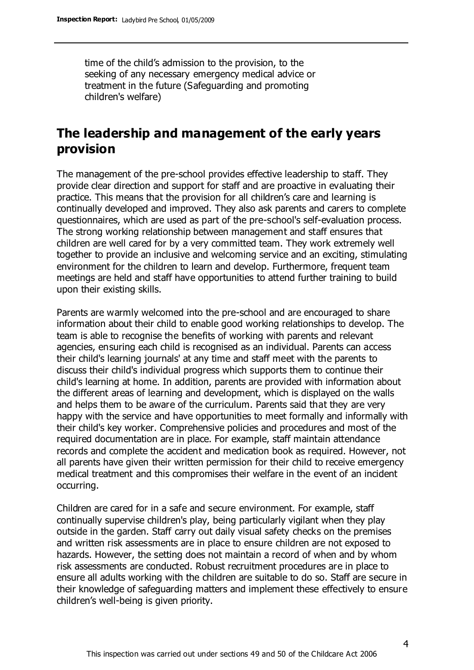time of the child's admission to the provision, to the seeking of any necessary emergency medical advice or treatment in the future (Safeguarding and promoting children's welfare)

## **The leadership and management of the early years provision**

The management of the pre-school provides effective leadership to staff. They provide clear direction and support for staff and are proactive in evaluating their practice. This means that the provision for all children's care and learning is continually developed and improved. They also ask parents and carers to complete questionnaires, which are used as part of the pre-school's self-evaluation process. The strong working relationship between management and staff ensures that children are well cared for by a very committed team. They work extremely well together to provide an inclusive and welcoming service and an exciting, stimulating environment for the children to learn and develop. Furthermore, frequent team meetings are held and staff have opportunities to attend further training to build upon their existing skills.

Parents are warmly welcomed into the pre-school and are encouraged to share information about their child to enable good working relationships to develop. The team is able to recognise the benefits of working with parents and relevant agencies, ensuring each child is recognised as an individual. Parents can access their child's learning journals' at any time and staff meet with the parents to discuss their child's individual progress which supports them to continue their child's learning at home. In addition, parents are provided with information about the different areas of learning and development, which is displayed on the walls and helps them to be aware of the curriculum. Parents said that they are very happy with the service and have opportunities to meet formally and informally with their child's key worker. Comprehensive policies and procedures and most of the required documentation are in place. For example, staff maintain attendance records and complete the accident and medication book as required. However, not all parents have given their written permission for their child to receive emergency medical treatment and this compromises their welfare in the event of an incident occurring.

Children are cared for in a safe and secure environment. For example, staff continually supervise children's play, being particularly vigilant when they play outside in the garden. Staff carry out daily visual safety checks on the premises and written risk assessments are in place to ensure children are not exposed to hazards. However, the setting does not maintain a record of when and by whom risk assessments are conducted. Robust recruitment procedures are in place to ensure all adults working with the children are suitable to do so. Staff are secure in their knowledge of safeguarding matters and implement these effectively to ensure children's well-being is given priority.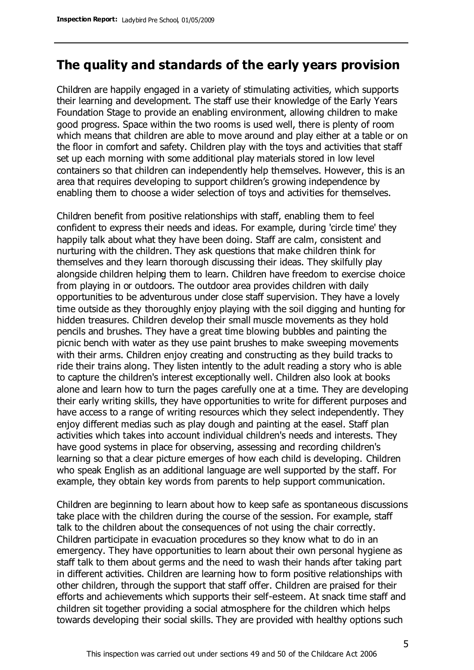#### **The quality and standards of the early years provision**

Children are happily engaged in a variety of stimulating activities, which supports their learning and development. The staff use their knowledge of the Early Years Foundation Stage to provide an enabling environment, allowing children to make good progress. Space within the two rooms is used well, there is plenty of room which means that children are able to move around and play either at a table or on the floor in comfort and safety. Children play with the toys and activities that staff set up each morning with some additional play materials stored in low level containers so that children can independently help themselves. However, this is an area that requires developing to support children's growing independence by enabling them to choose a wider selection of toys and activities for themselves.

Children benefit from positive relationships with staff, enabling them to feel confident to express their needs and ideas. For example, during 'circle time' they happily talk about what they have been doing. Staff are calm, consistent and nurturing with the children. They ask questions that make children think for themselves and they learn thorough discussing their ideas. They skilfully play alongside children helping them to learn. Children have freedom to exercise choice from playing in or outdoors. The outdoor area provides children with daily opportunities to be adventurous under close staff supervision. They have a lovely time outside as they thoroughly enjoy playing with the soil digging and hunting for hidden treasures. Children develop their small muscle movements as they hold pencils and brushes. They have a great time blowing bubbles and painting the picnic bench with water as they use paint brushes to make sweeping movements with their arms. Children enjoy creating and constructing as they build tracks to ride their trains along. They listen intently to the adult reading a story who is able to capture the children's interest exceptionally well. Children also look at books alone and learn how to turn the pages carefully one at a time. They are developing their early writing skills, they have opportunities to write for different purposes and have access to a range of writing resources which they select independently. They enjoy different medias such as play dough and painting at the easel. Staff plan activities which takes into account individual children's needs and interests. They have good systems in place for observing, assessing and recording children's learning so that a clear picture emerges of how each child is developing. Children who speak English as an additional language are well supported by the staff. For example, they obtain key words from parents to help support communication.

Children are beginning to learn about how to keep safe as spontaneous discussions take place with the children during the course of the session. For example, staff talk to the children about the consequences of not using the chair correctly. Children participate in evacuation procedures so they know what to do in an emergency. They have opportunities to learn about their own personal hygiene as staff talk to them about germs and the need to wash their hands after taking part in different activities. Children are learning how to form positive relationships with other children, through the support that staff offer. Children are praised for their efforts and achievements which supports their self-esteem. At snack time staff and children sit together providing a social atmosphere for the children which helps towards developing their social skills. They are provided with healthy options such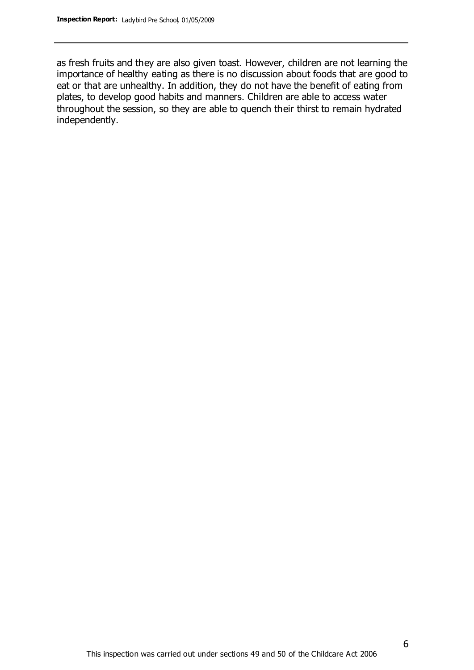as fresh fruits and they are also given toast. However, children are not learning the importance of healthy eating as there is no discussion about foods that are good to eat or that are unhealthy. In addition, they do not have the benefit of eating from plates, to develop good habits and manners. Children are able to access water throughout the session, so they are able to quench their thirst to remain hydrated independently.